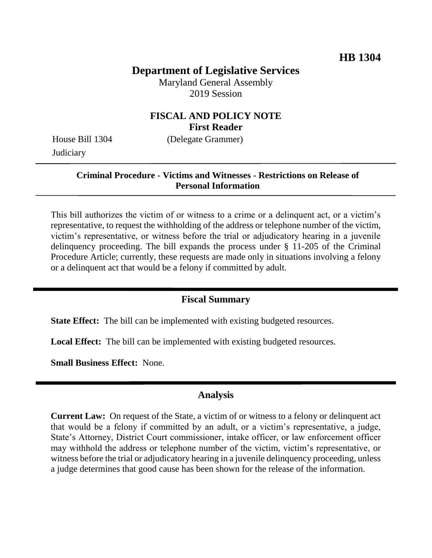## **Department of Legislative Services**

Maryland General Assembly 2019 Session

### **FISCAL AND POLICY NOTE First Reader**

House Bill 1304 (Delegate Grammer) **Judiciary** 

# **Criminal Procedure - Victims and Witnesses - Restrictions on Release of**

#### **Personal Information**

This bill authorizes the victim of or witness to a crime or a delinquent act, or a victim's representative, to request the withholding of the address or telephone number of the victim, victim's representative, or witness before the trial or adjudicatory hearing in a juvenile delinquency proceeding. The bill expands the process under § 11-205 of the Criminal Procedure Article; currently, these requests are made only in situations involving a felony or a delinquent act that would be a felony if committed by adult.

#### **Fiscal Summary**

**State Effect:** The bill can be implemented with existing budgeted resources.

**Local Effect:** The bill can be implemented with existing budgeted resources.

**Small Business Effect:** None.

#### **Analysis**

**Current Law:** On request of the State, a victim of or witness to a felony or delinquent act that would be a felony if committed by an adult, or a victim's representative, a judge, State's Attorney, District Court commissioner, intake officer, or law enforcement officer may withhold the address or telephone number of the victim, victim's representative, or witness before the trial or adjudicatory hearing in a juvenile delinquency proceeding, unless a judge determines that good cause has been shown for the release of the information.